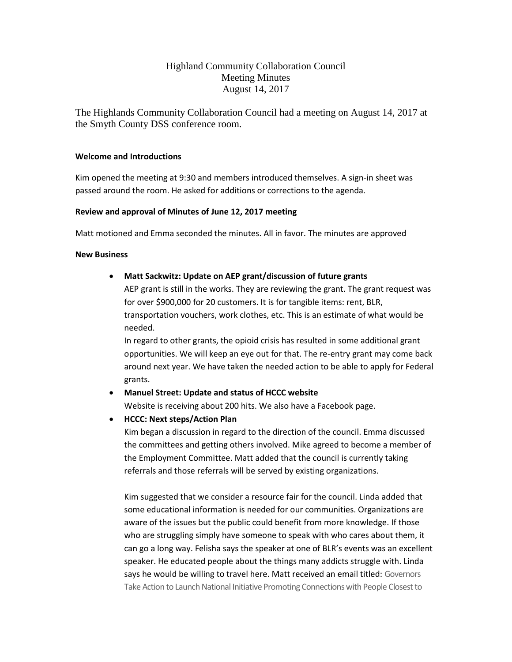# Highland Community Collaboration Council Meeting Minutes August 14, 2017

The Highlands Community Collaboration Council had a meeting on August 14, 2017 at the Smyth County DSS conference room.

### **Welcome and Introductions**

Kim opened the meeting at 9:30 and members introduced themselves. A sign-in sheet was passed around the room. He asked for additions or corrections to the agenda.

## **Review and approval of Minutes of June 12, 2017 meeting**

Matt motioned and Emma seconded the minutes. All in favor. The minutes are approved

### **New Business**

## • **Matt Sackwitz: Update on AEP grant/discussion of future grants**

AEP grant is still in the works. They are reviewing the grant. The grant request was for over \$900,000 for 20 customers. It is for tangible items: rent, BLR, transportation vouchers, work clothes, etc. This is an estimate of what would be needed.

In regard to other grants, the opioid crisis has resulted in some additional grant opportunities. We will keep an eye out for that. The re-entry grant may come back around next year. We have taken the needed action to be able to apply for Federal grants.

## • **Manuel Street: Update and status of HCCC website**

Website is receiving about 200 hits. We also have a Facebook page.

## • **HCCC: Next steps/Action Plan**

Kim began a discussion in regard to the direction of the council. Emma discussed the committees and getting others involved. Mike agreed to become a member of the Employment Committee. Matt added that the council is currently taking referrals and those referrals will be served by existing organizations.

Kim suggested that we consider a resource fair for the council. Linda added that some educational information is needed for our communities. Organizations are aware of the issues but the public could benefit from more knowledge. If those who are struggling simply have someone to speak with who cares about them, it can go a long way. Felisha says the speaker at one of BLR's events was an excellent speaker. He educated people about the things many addicts struggle with. Linda says he would be willing to travel here. Matt received an email titled: Governors Take Action to Launch National Initiative Promoting Connections with People Closest to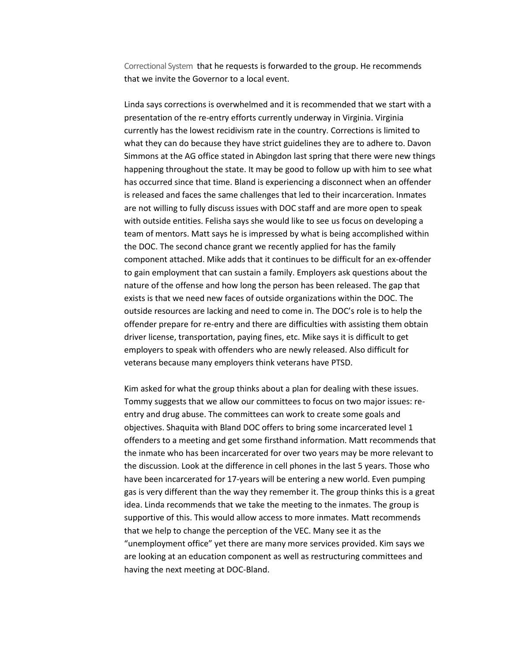Correctional System that he requests is forwarded to the group. He recommends that we invite the Governor to a local event.

Linda says corrections is overwhelmed and it is recommended that we start with a presentation of the re-entry efforts currently underway in Virginia. Virginia currently has the lowest recidivism rate in the country. Corrections is limited to what they can do because they have strict guidelines they are to adhere to. Davon Simmons at the AG office stated in Abingdon last spring that there were new things happening throughout the state. It may be good to follow up with him to see what has occurred since that time. Bland is experiencing a disconnect when an offender is released and faces the same challenges that led to their incarceration. Inmates are not willing to fully discuss issues with DOC staff and are more open to speak with outside entities. Felisha says she would like to see us focus on developing a team of mentors. Matt says he is impressed by what is being accomplished within the DOC. The second chance grant we recently applied for has the family component attached. Mike adds that it continues to be difficult for an ex-offender to gain employment that can sustain a family. Employers ask questions about the nature of the offense and how long the person has been released. The gap that exists is that we need new faces of outside organizations within the DOC. The outside resources are lacking and need to come in. The DOC's role is to help the offender prepare for re-entry and there are difficulties with assisting them obtain driver license, transportation, paying fines, etc. Mike says it is difficult to get employers to speak with offenders who are newly released. Also difficult for veterans because many employers think veterans have PTSD.

Kim asked for what the group thinks about a plan for dealing with these issues. Tommy suggests that we allow our committees to focus on two major issues: reentry and drug abuse. The committees can work to create some goals and objectives. Shaquita with Bland DOC offers to bring some incarcerated level 1 offenders to a meeting and get some firsthand information. Matt recommends that the inmate who has been incarcerated for over two years may be more relevant to the discussion. Look at the difference in cell phones in the last 5 years. Those who have been incarcerated for 17-years will be entering a new world. Even pumping gas is very different than the way they remember it. The group thinks this is a great idea. Linda recommends that we take the meeting to the inmates. The group is supportive of this. This would allow access to more inmates. Matt recommends that we help to change the perception of the VEC. Many see it as the "unemployment office" yet there are many more services provided. Kim says we are looking at an education component as well as restructuring committees and having the next meeting at DOC-Bland.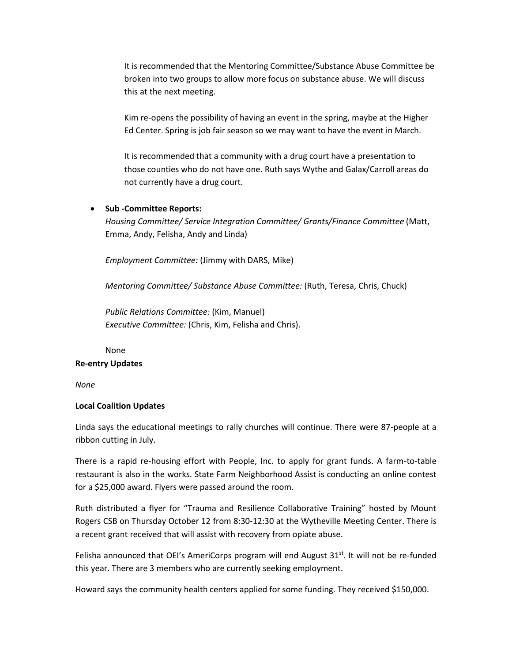It is recommended that the Mentoring Committee/Substance Abuse Committee be broken into two groups to allow more focus on substance abuse. We will discuss this at the next meeting.

Kim re-opens the possibility of having an event in the spring, maybe at the Higher Ed Center. Spring is job fair season so we may want to have the event in March.

It is recommended that a community with a drug court have a presentation to those counties who do not have one. Ruth says Wythe and Galax/Carroll areas do not currently have a drug court.

#### • **Sub -Committee Reports:**

*Housing Committee/ Service Integration Committee/ Grants/Finance Committee* (Matt, Emma, Andy, Felisha, Andy and Linda)

*Employment Committee:* (Jimmy with DARS, Mike)

*Mentoring Committee/ Substance Abuse Committee:* (Ruth, Teresa, Chris, Chuck)

*Public Relations Committee:* (Kim, Manuel) *Executive Committee:* (Chris, Kim, Felisha and Chris).

#### None

#### **Re-entry Updates**

*None*

#### **Local Coalition Updates**

Linda says the educational meetings to rally churches will continue. There were 87-people at a ribbon cutting in July.

There is a rapid re-housing effort with People, Inc. to apply for grant funds. A farm-to-table restaurant is also in the works. State Farm Neighborhood Assist is conducting an online contest for a \$25,000 award. Flyers were passed around the room.

Ruth distributed a flyer for "Trauma and Resilience Collaborative Training" hosted by Mount Rogers CSB on Thursday October 12 from 8:30-12:30 at the Wytheville Meeting Center. There is a recent grant received that will assist with recovery from opiate abuse.

Felisha announced that OEI's AmeriCorps program will end August  $31<sup>st</sup>$ . It will not be re-funded this year. There are 3 members who are currently seeking employment.

Howard says the community health centers applied for some funding. They received \$150,000.